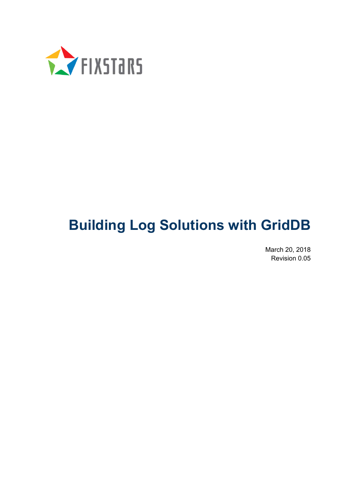

# **Building Log Solutions with GridDB**

March 20, 2018 Revision 0.05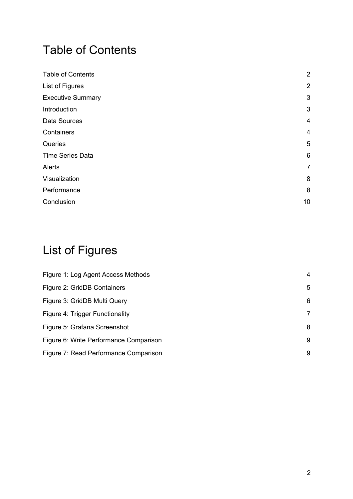## Table of Contents

| <b>Table of Contents</b> | $\overline{2}$ |
|--------------------------|----------------|
| List of Figures          | $\overline{2}$ |
| <b>Executive Summary</b> | 3              |
| Introduction             | 3              |
| Data Sources             | $\overline{4}$ |
| Containers               | $\overline{4}$ |
| Queries                  | 5              |
| <b>Time Series Data</b>  | 6              |
| Alerts                   | 7              |
| Visualization            | 8              |
| Performance              | 8              |
| Conclusion               | 10             |

## List of Figures

| Figure 1: Log Agent Access Methods     | 4 |
|----------------------------------------|---|
| Figure 2: GridDB Containers            | 5 |
| Figure 3: GridDB Multi Query           | 6 |
| Figure 4: Trigger Functionality        | 7 |
| Figure 5: Grafana Screenshot           | 8 |
| Figure 6: Write Performance Comparison | 9 |
| Figure 7: Read Performance Comparison  | 9 |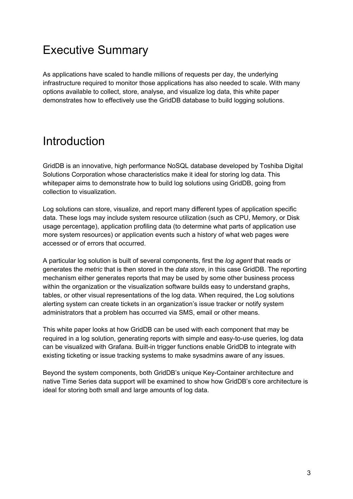## Executive Summary

As applications have scaled to handle millions of requests per day, the underlying infrastructure required to monitor those applications has also needed to scale. With many options available to collect, store, analyse, and visualize log data, this white paper demonstrates how to effectively use the GridDB database to build logging solutions.

## Introduction

GridDB is an innovative, high performance NoSQL database developed by Toshiba Digital Solutions Corporation whose characteristics make it ideal for storing log data. This whitepaper aims to demonstrate how to build log solutions using GridDB, going from collection to visualization.

Log solutions can store, visualize, and report many different types of application specific data. These logs may include system resource utilization (such as CPU, Memory, or Disk usage percentage), application profiling data (to determine what parts of application use more system resources) or application events such a history of what web pages were accessed or of errors that occurred.

A particular log solution is built of several components, first the *log agent* that reads or generates the *metric* that is then stored in the *data store*, in this case GridDB. The reporting mechanism either generates reports that may be used by some other business process within the organization or the visualization software builds easy to understand graphs, tables, or other visual representations of the log data. When required, the Log solutions alerting system can create tickets in an organization's issue tracker or notify system administrators that a problem has occurred via SMS, email or other means.

This white paper looks at how GridDB can be used with each component that may be required in a log solution, generating reports with simple and easy-to-use queries, log data can be visualized with Grafana. Built-in trigger functions enable GridDB to integrate with existing ticketing or issue tracking systems to make sysadmins aware of any issues.

Beyond the system components, both GridDB's unique Key-Container architecture and native Time Series data support will be examined to show how GridDB's core architecture is ideal for storing both small and large amounts of log data.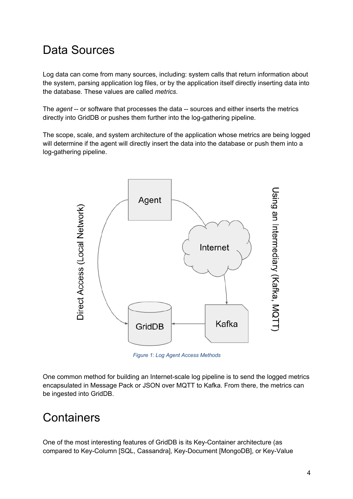## Data Sources

Log data can come from many sources, including: system calls that return information about the system, parsing application log files, or by the application itself directly inserting data into the database. These values are called *metrics*.

The *agent* -- or software that processes the data -- sources and either inserts the metrics directly into GridDB or pushes them further into the log-gathering pipeline.

The scope, scale, and system architecture of the application whose metrics are being logged will determine if the agent will directly insert the data into the database or push them into a log-gathering pipeline.



*Figure 1: Log Agent Access Methods*

One common method for building an Internet-scale log pipeline is to send the logged metrics encapsulated in Message Pack or JSON over MQTT to Kafka. From there, the metrics can be ingested into GridDB.

#### **Containers**

One of the most interesting features of GridDB is its Key-Container architecture (as compared to Key-Column [SQL, Cassandra], Key-Document [MongoDB], or Key-Value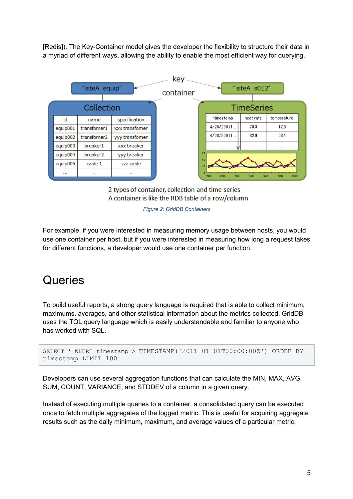[Redis]). The Key-Container model gives the developer the flexibility to structure their data in a myriad of different ways, allowing the ability to enable the most efficient way for querying.



2 types of container, collection and time series A container is like the RDB table of a row/column

*Figure 2: GridDB Containers*

For example, if you were interested in measuring memory usage between hosts, you would use one container per host, but if you were interested in measuring how long a request takes for different functions, a developer would use one container per function.

#### **Queries**

To build useful reports, a strong query language is required that is able to collect minimum, maximums, averages, and other statistical information about the metrics collected. GridDB uses the TQL query language which is easily understandable and familiar to anyone who has worked with SQL.

```
SELECT * WHERE timestamp > TIMESTAMP('2011-01-01T00:00:00Z') ORDER BY 
timestamp LIMIT 100
```
Developers can use several aggregation functions that can calculate the MIN, MAX, AVG, SUM, COUNT, VARIANCE, and STDDEV of a column in a given query.

Instead of executing multiple queries to a container, a consolidated query can be executed once to fetch multiple aggregates of the logged metric. This is useful for acquiring aggregate results such as the daily minimum, maximum, and average values of a particular metric.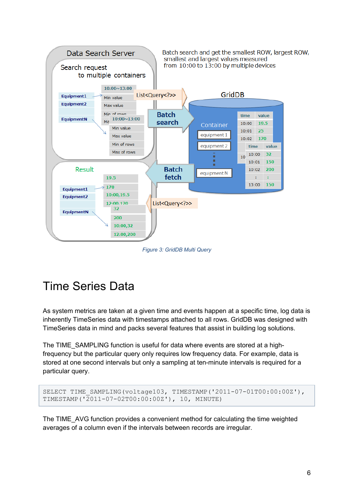

*Figure 3: GridDB Multi Query*

## Time Series Data

As system metrics are taken at a given time and events happen at a specific time, log data is inherently TimeSeries data with timestamps attached to all rows. GridDB was designed with TimeSeries data in mind and packs several features that assist in building log solutions.

The TIME\_SAMPLING function is useful for data where events are stored at a highfrequency but the particular query only requires low frequency data. For example, data is stored at one second intervals but only a sampling at ten-minute intervals is required for a particular query.

```
SELECT TIME SAMPLING(voltage103, TIMESTAMP('2011-07-01T00:00:00Z'),
TIMESTAMP('2011-07-02T00:00:00Z'), 10, MINUTE)
```
The TIME\_AVG function provides a convenient method for calculating the time weighted averages of a column even if the intervals between records are irregular.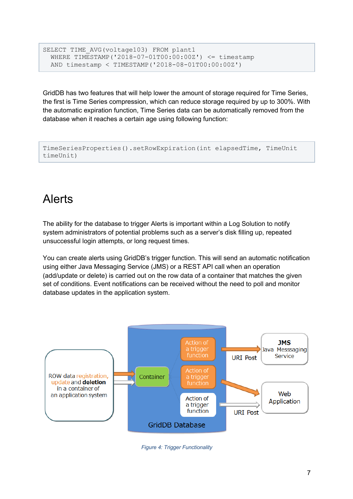```
SELECT TIME AVG(voltage103) FROM plant1
  WHERE TIMESTAMP('2018-07-01T00:00:00Z') \leq timestamp
   AND timestamp < TIMESTAMP('2018-08-01T00:00:00Z')
```
GridDB has two features that will help lower the amount of storage required for Time Series, the first is Time Series compression, which can reduce storage required by up to 300%. With the automatic expiration function, Time Series data can be automatically removed from the database when it reaches a certain age using following function:

```
TimeSeriesProperties().setRowExpiration(int elapsedTime, TimeUnit 
timeUnit)
```
## Alerts

The ability for the database to trigger Alerts is important within a Log Solution to notify system administrators of potential problems such as a server's disk filling up, repeated unsuccessful login attempts, or long request times.

You can create alerts using GridDB's trigger function. This will send an automatic notification using either Java Messaging Service (JMS) or a REST API call when an operation (add/update or delete) is carried out on the row data of a container that matches the given set of conditions. Event notifications can be received without the need to poll and monitor database updates in the application system.



*Figure 4: Trigger Functionality*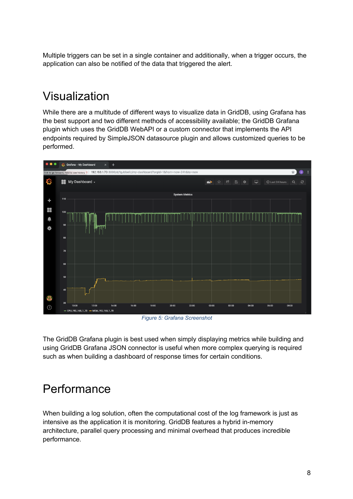Multiple triggers can be set in a single container and additionally, when a trigger occurs, the application can also be notified of the data that triggered the alert.

## Visualization

While there are a multitude of different ways to visualize data in GridDB, using Grafana has the best support and two different methods of accessibility available; the GridDB Grafana plugin which uses the GridDB WebAPI or a custom connector that implements the API endpoints required by SimpleJSON datasource plugin and allows customized queries to be performed.



*Figure 5: Grafana Screenshot*

The GridDB Grafana plugin is best used when simply displaying metrics while building and using GridDB Grafana JSON connector is useful when more complex querying is required such as when building a dashboard of response times for certain conditions.

#### Performance

When building a log solution, often the computational cost of the log framework is just as intensive as the application it is monitoring. GridDB features a hybrid in-memory architecture, parallel query processing and minimal overhead that produces incredible performance.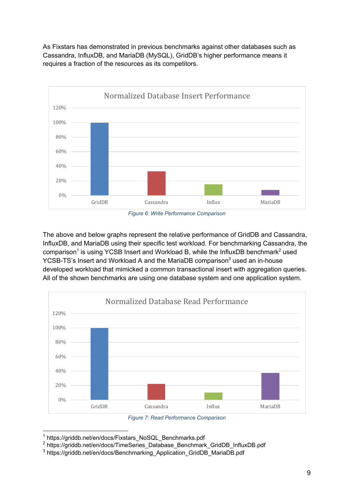As Fixstars has demonstrated in previous benchmarks against other databases such as Cassandra, InfluxDB, and MariaDB (MySQL), GridDB's higher performance means it requires a fraction of the resources as its competitors.



*Figure 6: Write Performance Comparison*

The above and below graphs represent the relative performance of GridDB and Cassandra, InfluxDB, and MariaDB using their specific test workload. For benchmarking Cassandra, the  $comparison<sup>1</sup>$  is using YCSB Insert and Workload B, while the InfluxDB benchmark<sup>2</sup> used YCSB-TS's Insert and Workload A and the MariaDB comparison<sup>3</sup> used an in-house developed workload that mimicked a common transactional insert with aggregation queries. All of the shown benchmarks are using one database system and one application system.



*Figure 7: Read Performance Comparison*

<sup>&</sup>lt;sup>1</sup> https://griddb.net/en/docs/Fixstars\_NoSQL\_Benchmarks.pdf

<sup>2</sup> https://griddb.net/en/docs/TimeSeries\_Database\_Benchmark\_GridDB\_InfluxDB.pdf

<sup>3</sup> https://griddb.net/en/docs/Benchmarking\_Application\_GridDB\_MariaDB.pdf